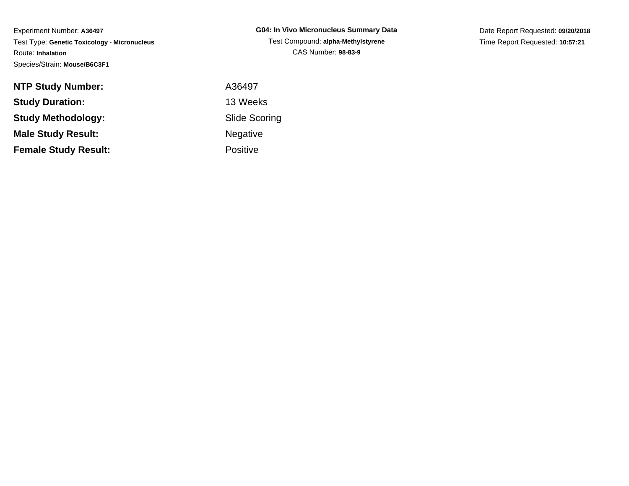Experiment Number: **A36497** Test Type: **Genetic Toxicology - Micronucleus**Route: **Inhalation**Species/Strain: **Mouse/B6C3F1**

Date Report Requested: **09/20/2018**Time Report Requested: **10:57:21**

| <b>NTP Study Number:</b>    | A36497               |
|-----------------------------|----------------------|
| <b>Study Duration:</b>      | 13 Weeks             |
| Study Methodology:          | <b>Slide Scoring</b> |
| <b>Male Study Result:</b>   | <b>Negative</b>      |
| <b>Female Study Result:</b> | <b>Positive</b>      |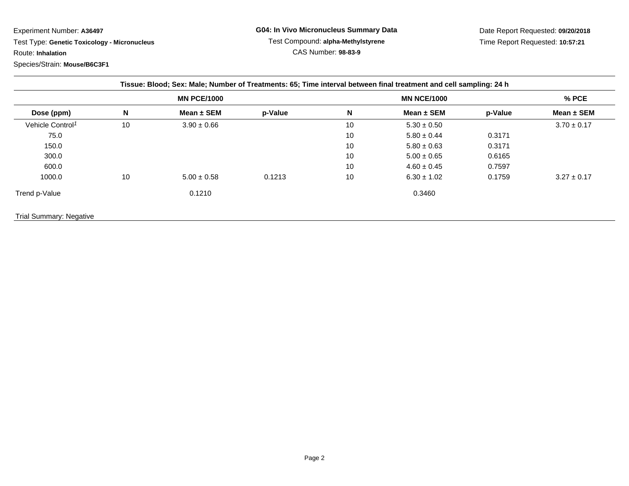Experiment Number: **A36497**

 Test Type: **Genetic Toxicology - Micronucleus**Route: **Inhalation**

Species/Strain: **Mouse/B6C3F1**

Date Report Requested: **09/20/2018**Time Report Requested: **10:57:21**

|                              |    | Tissue: Blood; Sex: Male; Number of Treatments: 65; Time interval between final treatment and cell sampling: 24 h |         |    |                    |         |                 |
|------------------------------|----|-------------------------------------------------------------------------------------------------------------------|---------|----|--------------------|---------|-----------------|
|                              |    | <b>MN PCE/1000</b>                                                                                                |         |    | <b>MN NCE/1000</b> |         | % PCE           |
| Dose (ppm)                   | N  | Mean $\pm$ SEM                                                                                                    | p-Value | N  | Mean $\pm$ SEM     | p-Value | Mean ± SEM      |
| Vehicle Control <sup>1</sup> | 10 | $3.90 \pm 0.66$                                                                                                   |         | 10 | $5.30 \pm 0.50$    |         | $3.70 \pm 0.17$ |
| 75.0                         |    |                                                                                                                   |         | 10 | $5.80 \pm 0.44$    | 0.3171  |                 |
| 150.0                        |    |                                                                                                                   |         | 10 | $5.80 \pm 0.63$    | 0.3171  |                 |
| 300.0                        |    |                                                                                                                   |         | 10 | $5.00 \pm 0.65$    | 0.6165  |                 |
| 600.0                        |    |                                                                                                                   |         | 10 | $4.60 \pm 0.45$    | 0.7597  |                 |
| 1000.0                       | 10 | $5.00 \pm 0.58$                                                                                                   | 0.1213  | 10 | $6.30 \pm 1.02$    | 0.1759  | $3.27 \pm 0.17$ |
| Trend p-Value                |    | 0.1210                                                                                                            |         |    | 0.3460             |         |                 |
| Trial Summary: Negative      |    |                                                                                                                   |         |    |                    |         |                 |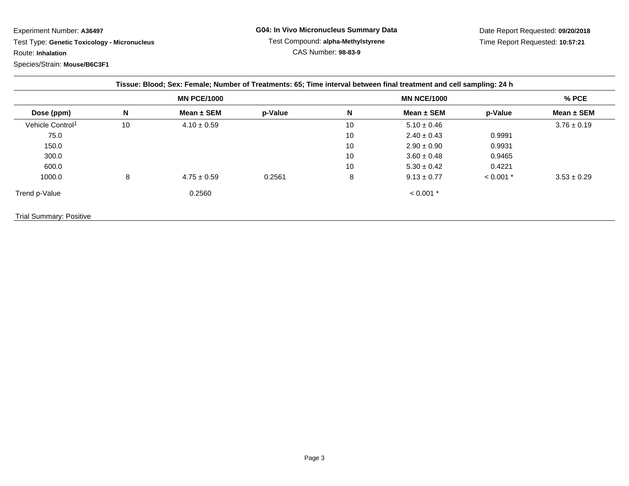Experiment Number: **A36497**

 Test Type: **Genetic Toxicology - Micronucleus**Route: **Inhalation**

Species/Strain: **Mouse/B6C3F1**

|                              |    | <b>MN PCE/1000</b> |         |    | <b>MN NCE/1000</b> |             | % PCE           |
|------------------------------|----|--------------------|---------|----|--------------------|-------------|-----------------|
| Dose (ppm)                   | N  | Mean $\pm$ SEM     | p-Value | N  | Mean $\pm$ SEM     | p-Value     | Mean $\pm$ SEM  |
| Vehicle Control <sup>1</sup> | 10 | $4.10 \pm 0.59$    |         | 10 | $5.10 \pm 0.46$    |             | $3.76 \pm 0.19$ |
| 75.0                         |    |                    |         | 10 | $2.40 \pm 0.43$    | 0.9991      |                 |
| 150.0                        |    |                    |         | 10 | $2.90 \pm 0.90$    | 0.9931      |                 |
| 300.0                        |    |                    |         | 10 | $3.60 \pm 0.48$    | 0.9465      |                 |
| 600.0                        |    |                    |         | 10 | $5.30 \pm 0.42$    | 0.4221      |                 |
| 1000.0                       | 8  | $4.75 \pm 0.59$    | 0.2561  | 8  | $9.13 \pm 0.77$    | $< 0.001$ * | $3.53 \pm 0.29$ |
| Trend p-Value                |    | 0.2560             |         |    | $< 0.001$ *        |             |                 |